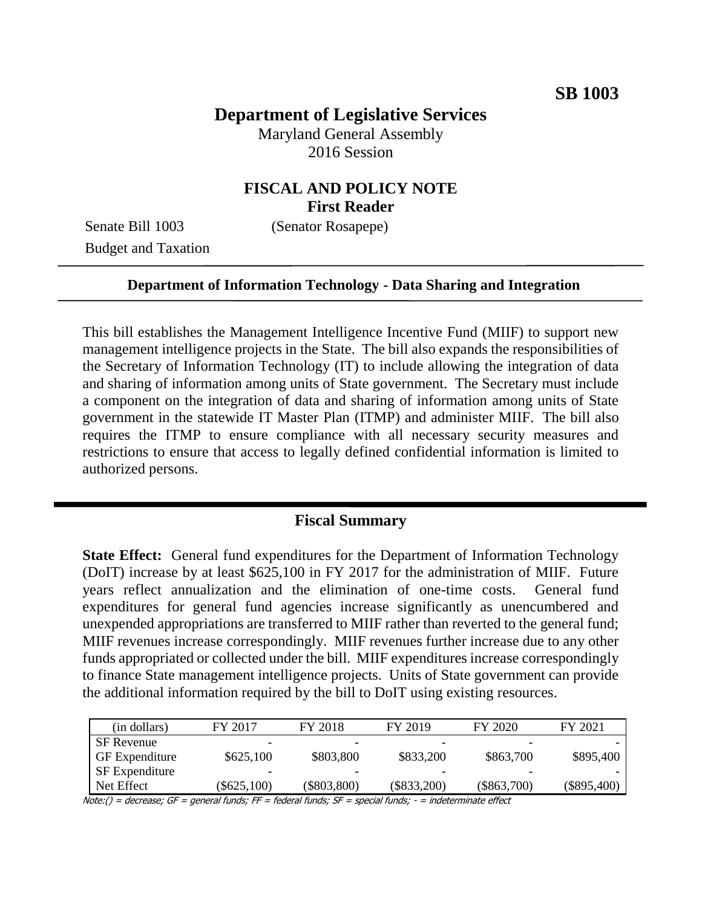# **Department of Legislative Services**

Maryland General Assembly 2016 Session

### **FISCAL AND POLICY NOTE First Reader**

Senate Bill 1003 (Senator Rosapepe) Budget and Taxation

#### **Department of Information Technology - Data Sharing and Integration**

This bill establishes the Management Intelligence Incentive Fund (MIIF) to support new management intelligence projects in the State. The bill also expands the responsibilities of the Secretary of Information Technology (IT) to include allowing the integration of data and sharing of information among units of State government. The Secretary must include a component on the integration of data and sharing of information among units of State government in the statewide IT Master Plan (ITMP) and administer MIIF. The bill also requires the ITMP to ensure compliance with all necessary security measures and restrictions to ensure that access to legally defined confidential information is limited to authorized persons.

#### **Fiscal Summary**

**State Effect:** General fund expenditures for the Department of Information Technology (DoIT) increase by at least \$625,100 in FY 2017 for the administration of MIIF. Future years reflect annualization and the elimination of one-time costs. General fund expenditures for general fund agencies increase significantly as unencumbered and unexpended appropriations are transferred to MIIF rather than reverted to the general fund; MIIF revenues increase correspondingly. MIIF revenues further increase due to any other funds appropriated or collected under the bill. MIIF expenditures increase correspondingly to finance State management intelligence projects. Units of State government can provide the additional information required by the bill to DoIT using existing resources.

| (in dollars)          | FY 2017       | FY 2018       | FY 2019       | FY 2020       | FY 2021       |
|-----------------------|---------------|---------------|---------------|---------------|---------------|
| <b>SF</b> Revenue     |               |               |               |               |               |
| <b>GF</b> Expenditure | \$625,100     | \$803,800     | \$833,200     | \$863,700     | \$895,400     |
| SF Expenditure        | -             |               |               |               |               |
| Net Effect            | $(\$625,100)$ | $(\$803,800)$ | $(\$833,200)$ | $(\$863,700)$ | $(\$895,400)$ |

Note:() = decrease; GF = general funds; FF = federal funds; SF = special funds; - = indeterminate effect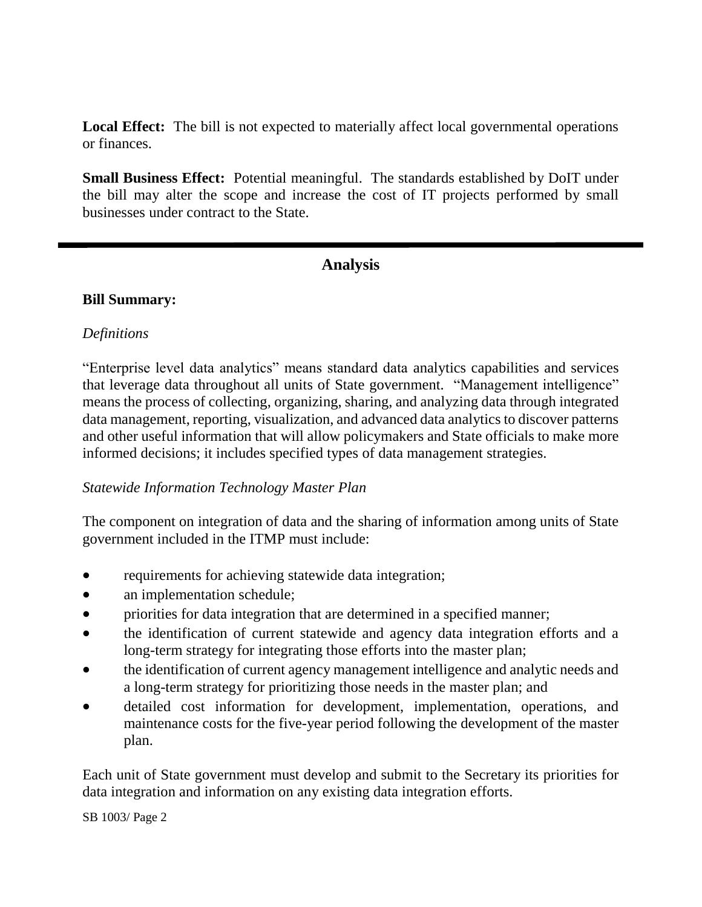**Local Effect:** The bill is not expected to materially affect local governmental operations or finances.

**Small Business Effect:** Potential meaningful. The standards established by DoIT under the bill may alter the scope and increase the cost of IT projects performed by small businesses under contract to the State.

### **Analysis**

#### **Bill Summary:**

#### *Definitions*

"Enterprise level data analytics" means standard data analytics capabilities and services that leverage data throughout all units of State government. "Management intelligence" means the process of collecting, organizing, sharing, and analyzing data through integrated data management, reporting, visualization, and advanced data analytics to discover patterns and other useful information that will allow policymakers and State officials to make more informed decisions; it includes specified types of data management strategies.

#### *Statewide Information Technology Master Plan*

The component on integration of data and the sharing of information among units of State government included in the ITMP must include:

- requirements for achieving statewide data integration;
- an implementation schedule;
- priorities for data integration that are determined in a specified manner;
- the identification of current statewide and agency data integration efforts and a long-term strategy for integrating those efforts into the master plan;
- the identification of current agency management intelligence and analytic needs and a long-term strategy for prioritizing those needs in the master plan; and
- detailed cost information for development, implementation, operations, and maintenance costs for the five-year period following the development of the master plan.

Each unit of State government must develop and submit to the Secretary its priorities for data integration and information on any existing data integration efforts.

SB 1003/ Page 2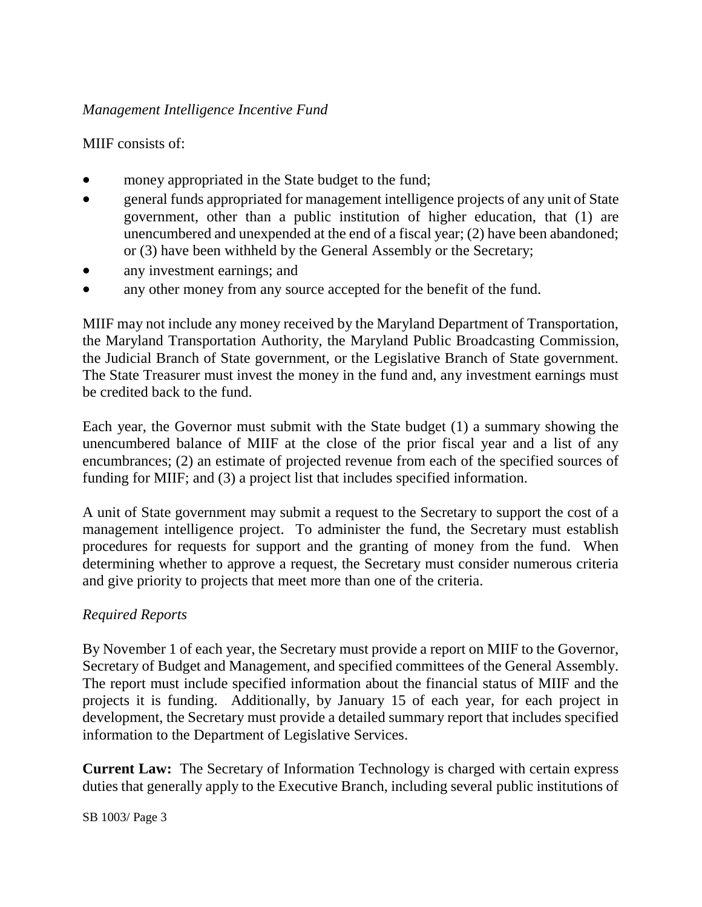#### *Management Intelligence Incentive Fund*

MIIF consists of:

- money appropriated in the State budget to the fund;
- general funds appropriated for management intelligence projects of any unit of State government, other than a public institution of higher education, that (1) are unencumbered and unexpended at the end of a fiscal year; (2) have been abandoned; or (3) have been withheld by the General Assembly or the Secretary;
- any investment earnings; and
- any other money from any source accepted for the benefit of the fund.

MIIF may not include any money received by the Maryland Department of Transportation, the Maryland Transportation Authority, the Maryland Public Broadcasting Commission, the Judicial Branch of State government, or the Legislative Branch of State government. The State Treasurer must invest the money in the fund and, any investment earnings must be credited back to the fund.

Each year, the Governor must submit with the State budget (1) a summary showing the unencumbered balance of MIIF at the close of the prior fiscal year and a list of any encumbrances; (2) an estimate of projected revenue from each of the specified sources of funding for MIIF; and (3) a project list that includes specified information.

A unit of State government may submit a request to the Secretary to support the cost of a management intelligence project. To administer the fund, the Secretary must establish procedures for requests for support and the granting of money from the fund. When determining whether to approve a request, the Secretary must consider numerous criteria and give priority to projects that meet more than one of the criteria.

# *Required Reports*

By November 1 of each year, the Secretary must provide a report on MIIF to the Governor, Secretary of Budget and Management, and specified committees of the General Assembly. The report must include specified information about the financial status of MIIF and the projects it is funding. Additionally, by January 15 of each year, for each project in development, the Secretary must provide a detailed summary report that includes specified information to the Department of Legislative Services.

**Current Law:** The Secretary of Information Technology is charged with certain express duties that generally apply to the Executive Branch, including several public institutions of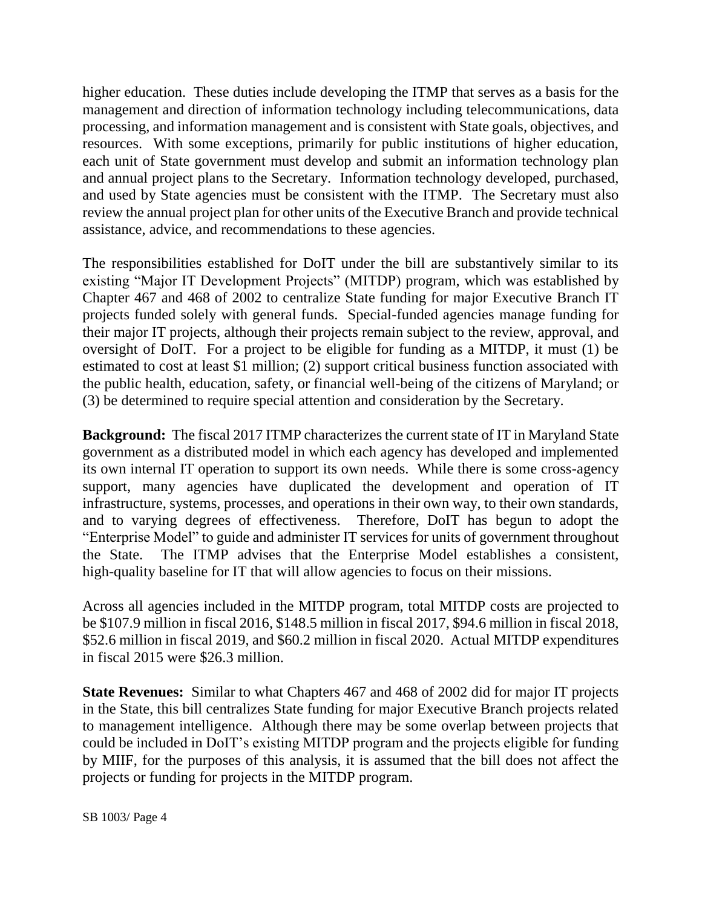higher education. These duties include developing the ITMP that serves as a basis for the management and direction of information technology including telecommunications, data processing, and information management and is consistent with State goals, objectives, and resources. With some exceptions, primarily for public institutions of higher education, each unit of State government must develop and submit an information technology plan and annual project plans to the Secretary. Information technology developed, purchased, and used by State agencies must be consistent with the ITMP. The Secretary must also review the annual project plan for other units of the Executive Branch and provide technical assistance, advice, and recommendations to these agencies.

The responsibilities established for DoIT under the bill are substantively similar to its existing "Major IT Development Projects" (MITDP) program, which was established by Chapter 467 and 468 of 2002 to centralize State funding for major Executive Branch IT projects funded solely with general funds. Special-funded agencies manage funding for their major IT projects, although their projects remain subject to the review, approval, and oversight of DoIT. For a project to be eligible for funding as a MITDP, it must (1) be estimated to cost at least \$1 million; (2) support critical business function associated with the public health, education, safety, or financial well-being of the citizens of Maryland; or (3) be determined to require special attention and consideration by the Secretary.

**Background:** The fiscal 2017 ITMP characterizes the current state of IT in Maryland State government as a distributed model in which each agency has developed and implemented its own internal IT operation to support its own needs. While there is some cross-agency support, many agencies have duplicated the development and operation of IT infrastructure, systems, processes, and operations in their own way, to their own standards, and to varying degrees of effectiveness. Therefore, DoIT has begun to adopt the "Enterprise Model" to guide and administer IT services for units of government throughout the State. The ITMP advises that the Enterprise Model establishes a consistent, high-quality baseline for IT that will allow agencies to focus on their missions.

Across all agencies included in the MITDP program, total MITDP costs are projected to be \$107.9 million in fiscal 2016, \$148.5 million in fiscal 2017, \$94.6 million in fiscal 2018, \$52.6 million in fiscal 2019, and \$60.2 million in fiscal 2020. Actual MITDP expenditures in fiscal 2015 were \$26.3 million.

**State Revenues:** Similar to what Chapters 467 and 468 of 2002 did for major IT projects in the State, this bill centralizes State funding for major Executive Branch projects related to management intelligence. Although there may be some overlap between projects that could be included in DoIT's existing MITDP program and the projects eligible for funding by MIIF, for the purposes of this analysis, it is assumed that the bill does not affect the projects or funding for projects in the MITDP program.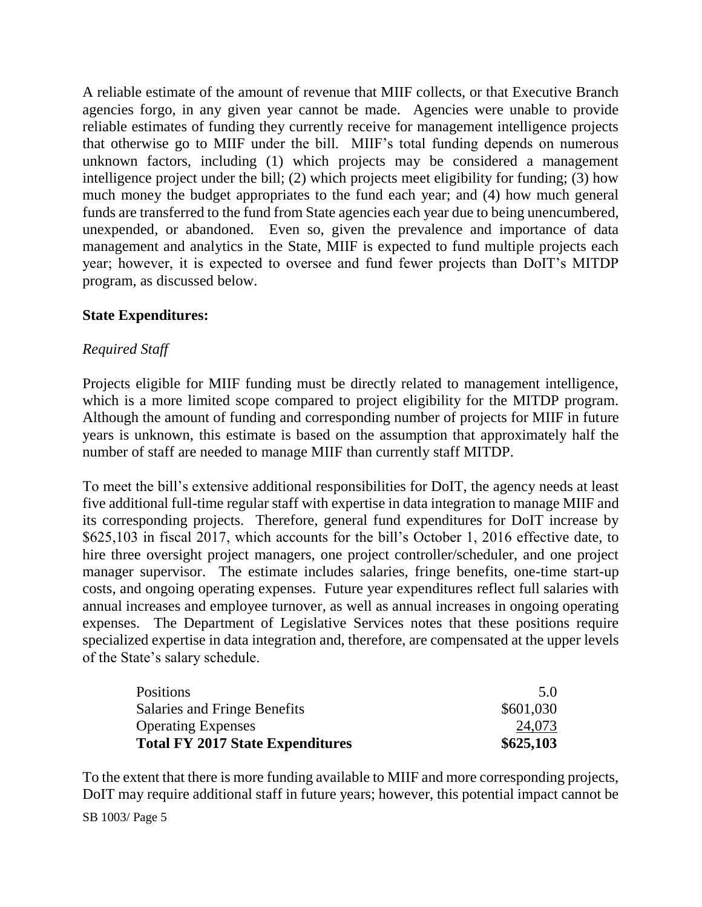A reliable estimate of the amount of revenue that MIIF collects, or that Executive Branch agencies forgo, in any given year cannot be made. Agencies were unable to provide reliable estimates of funding they currently receive for management intelligence projects that otherwise go to MIIF under the bill. MIIF's total funding depends on numerous unknown factors, including (1) which projects may be considered a management intelligence project under the bill; (2) which projects meet eligibility for funding; (3) how much money the budget appropriates to the fund each year; and (4) how much general funds are transferred to the fund from State agencies each year due to being unencumbered, unexpended, or abandoned. Even so, given the prevalence and importance of data management and analytics in the State, MIIF is expected to fund multiple projects each year; however, it is expected to oversee and fund fewer projects than DoIT's MITDP program, as discussed below.

#### **State Expenditures:**

#### *Required Staff*

Projects eligible for MIIF funding must be directly related to management intelligence, which is a more limited scope compared to project eligibility for the MITDP program. Although the amount of funding and corresponding number of projects for MIIF in future years is unknown, this estimate is based on the assumption that approximately half the number of staff are needed to manage MIIF than currently staff MITDP.

To meet the bill's extensive additional responsibilities for DoIT, the agency needs at least five additional full-time regular staff with expertise in data integration to manage MIIF and its corresponding projects. Therefore, general fund expenditures for DoIT increase by \$625,103 in fiscal 2017, which accounts for the bill's October 1, 2016 effective date, to hire three oversight project managers, one project controller/scheduler, and one project manager supervisor. The estimate includes salaries, fringe benefits, one-time start-up costs, and ongoing operating expenses. Future year expenditures reflect full salaries with annual increases and employee turnover, as well as annual increases in ongoing operating expenses. The Department of Legislative Services notes that these positions require specialized expertise in data integration and, therefore, are compensated at the upper levels of the State's salary schedule.

| <b>Positions</b>                        | $5.0^{\circ}$ |
|-----------------------------------------|---------------|
| Salaries and Fringe Benefits            | \$601,030     |
| <b>Operating Expenses</b>               | 24,073        |
| <b>Total FY 2017 State Expenditures</b> | \$625,103     |

To the extent that there is more funding available to MIIF and more corresponding projects, DoIT may require additional staff in future years; however, this potential impact cannot be

SB 1003/ Page 5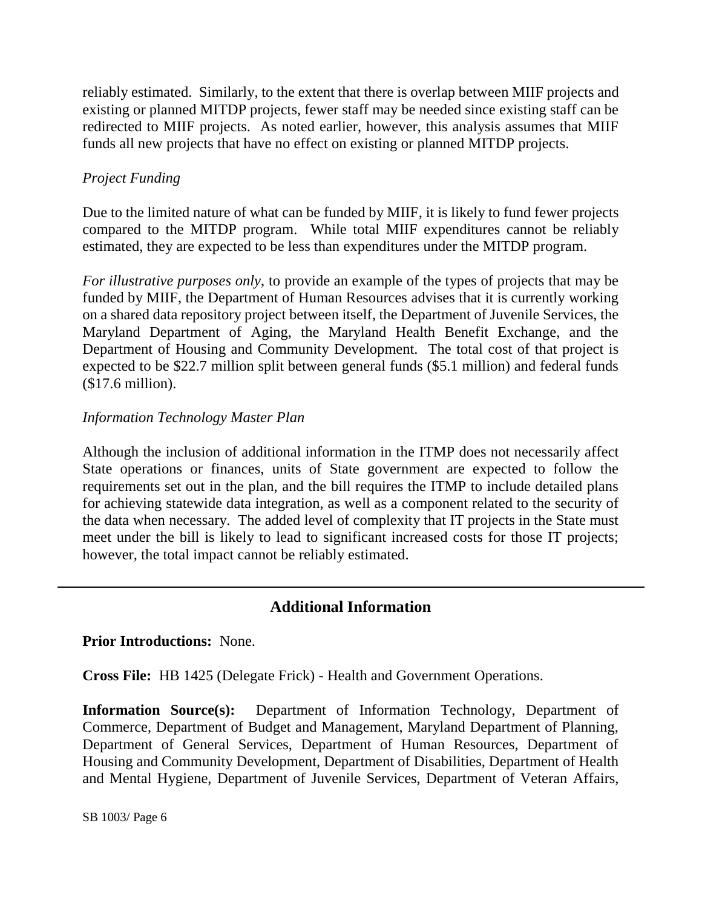reliably estimated. Similarly, to the extent that there is overlap between MIIF projects and existing or planned MITDP projects, fewer staff may be needed since existing staff can be redirected to MIIF projects. As noted earlier, however, this analysis assumes that MIIF funds all new projects that have no effect on existing or planned MITDP projects.

## *Project Funding*

Due to the limited nature of what can be funded by MIIF, it is likely to fund fewer projects compared to the MITDP program. While total MIIF expenditures cannot be reliably estimated, they are expected to be less than expenditures under the MITDP program.

*For illustrative purposes only*, to provide an example of the types of projects that may be funded by MIIF, the Department of Human Resources advises that it is currently working on a shared data repository project between itself, the Department of Juvenile Services, the Maryland Department of Aging, the Maryland Health Benefit Exchange, and the Department of Housing and Community Development. The total cost of that project is expected to be \$22.7 million split between general funds (\$5.1 million) and federal funds (\$17.6 million).

### *Information Technology Master Plan*

Although the inclusion of additional information in the ITMP does not necessarily affect State operations or finances, units of State government are expected to follow the requirements set out in the plan, and the bill requires the ITMP to include detailed plans for achieving statewide data integration, as well as a component related to the security of the data when necessary. The added level of complexity that IT projects in the State must meet under the bill is likely to lead to significant increased costs for those IT projects; however, the total impact cannot be reliably estimated.

# **Additional Information**

#### **Prior Introductions:** None.

**Cross File:** HB 1425 (Delegate Frick) - Health and Government Operations.

**Information Source(s):** Department of Information Technology, Department of Commerce, Department of Budget and Management, Maryland Department of Planning, Department of General Services, Department of Human Resources, Department of Housing and Community Development, Department of Disabilities, Department of Health and Mental Hygiene, Department of Juvenile Services, Department of Veteran Affairs,